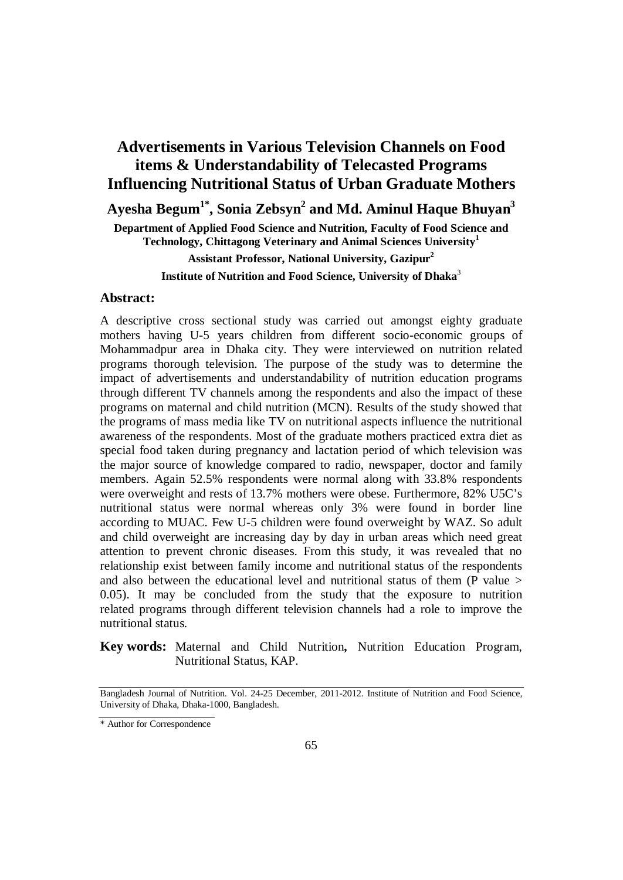# **Advertisements in Various Television Channels on Food items & Understandability of Telecasted Programs Influencing Nutritional Status of Urban Graduate Mothers**

Ayesha Begum<sup>1\*</sup>, Sonia Zebsyn<sup>2</sup> and Md. Aminul Haque Bhuyan<sup>3</sup>

**Department of Applied Food Science and Nutrition, Faculty of Food Science and Technology, Chittagong Veterinary and Animal Sciences University<sup>1</sup> Assistant Professor, National University, Gazipur2**

**Institute of Nutrition and Food Science, University of Dhaka**<sup>3</sup>

#### **Abstract:**

A descriptive cross sectional study was carried out amongst eighty graduate mothers having U-5 years children from different socio-economic groups of Mohammadpur area in Dhaka city. They were interviewed on nutrition related programs thorough television. The purpose of the study was to determine the impact of advertisements and understandability of nutrition education programs through different TV channels among the respondents and also the impact of these programs on maternal and child nutrition (MCN). Results of the study showed that the programs of mass media like TV on nutritional aspects influence the nutritional awareness of the respondents. Most of the graduate mothers practiced extra diet as special food taken during pregnancy and lactation period of which television was the major source of knowledge compared to radio, newspaper, doctor and family members. Again 52.5% respondents were normal along with 33.8% respondents were overweight and rests of 13.7% mothers were obese. Furthermore, 82% U5C's nutritional status were normal whereas only 3% were found in border line according to MUAC. Few U-5 children were found overweight by WAZ. So adult and child overweight are increasing day by day in urban areas which need great attention to prevent chronic diseases. From this study, it was revealed that no relationship exist between family income and nutritional status of the respondents and also between the educational level and nutritional status of them (P value  $>$ 0.05). It may be concluded from the study that the exposure to nutrition related programs through different television channels had a role to improve the nutritional status.

**Key words:** Maternal and Child Nutrition**,** Nutrition Education Program, Nutritional Status, KAP.

Bangladesh Journal of Nutrition. Vol. 24-25 December, 2011-2012. Institute of Nutrition and Food Science, University of Dhaka, Dhaka-1000, Bangladesh.

<sup>\*</sup> Author for Correspondence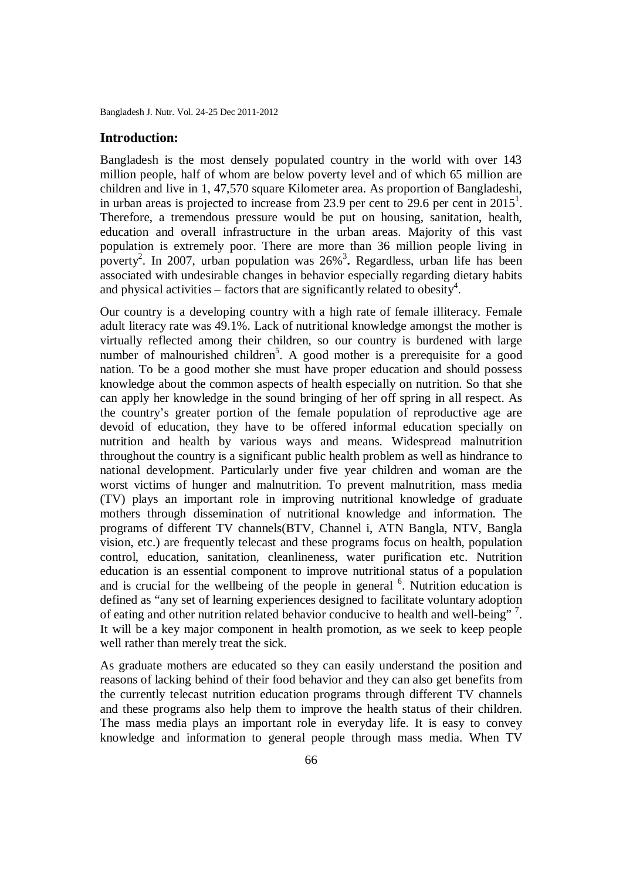#### **Introduction:**

Bangladesh is the most densely populated country in the world with over 143 million people, half of whom are below poverty level and of which 65 million are children and live in 1, 47,570 square Kilometer area. As proportion of Bangladeshi, in urban areas is projected to increase from 23.9 per cent to 29.6 per cent in  $2015^1$ . Therefore, a tremendous pressure would be put on housing, sanitation, health, education and overall infrastructure in the urban areas. Majority of this vast population is extremely poor. There are more than 36 million people living in poverty<sup>2</sup>. In 2007, urban population was 26%<sup>3</sup>. Regardless, urban life has been associated with undesirable changes in behavior especially regarding dietary habits and physical activities – factors that are significantly related to obesity<sup>4</sup>.

Our country is a developing country with a high rate of female illiteracy. Female adult literacy rate was 49.1%. Lack of nutritional knowledge amongst the mother is virtually reflected among their children, so our country is burdened with large number of malnourished children<sup>5</sup>. A good mother is a prerequisite for a good nation. To be a good mother she must have proper education and should possess knowledge about the common aspects of health especially on nutrition. So that she can apply her knowledge in the sound bringing of her off spring in all respect. As the country's greater portion of the female population of reproductive age are devoid of education, they have to be offered informal education specially on nutrition and health by various ways and means. Widespread malnutrition throughout the country is a significant public health problem as well as hindrance to national development. Particularly under five year children and woman are the worst victims of hunger and malnutrition. To prevent malnutrition, mass media (TV) plays an important role in improving nutritional knowledge of graduate mothers through dissemination of nutritional knowledge and information. The programs of different TV channels(BTV, Channel i, ATN Bangla, NTV, Bangla vision, etc.) are frequently telecast and these programs focus on health, population control, education, sanitation, cleanlineness, water purification etc. Nutrition education is an essential component to improve nutritional status of a population and is crucial for the wellbeing of the people in general  $6$ . Nutrition education is defined as "any set of learning experiences designed to facilitate voluntary adoption of eating and other nutrition related behavior conducive to health and well-being"?. It will be a key major component in health promotion, as we seek to keep people well rather than merely treat the sick.

As graduate mothers are educated so they can easily understand the position and reasons of lacking behind of their food behavior and they can also get benefits from the currently telecast nutrition education programs through different TV channels and these programs also help them to improve the health status of their children. The mass media plays an important role in everyday life. It is easy to convey knowledge and information to general people through mass media. When TV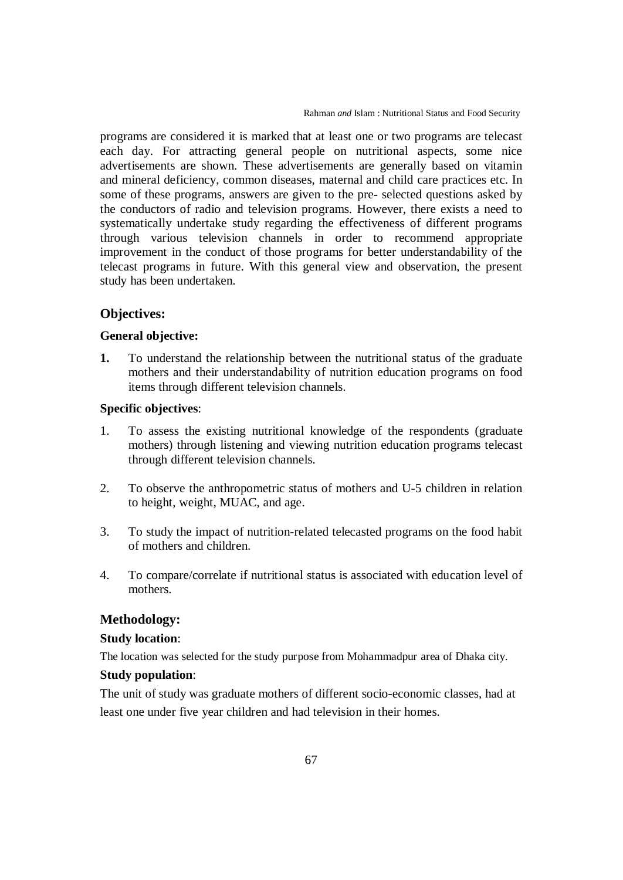Rahman *and* Islam : Nutritional Status and Food Security

programs are considered it is marked that at least one or two programs are telecast each day. For attracting general people on nutritional aspects, some nice advertisements are shown. These advertisements are generally based on vitamin and mineral deficiency, common diseases, maternal and child care practices etc. In some of these programs, answers are given to the pre- selected questions asked by the conductors of radio and television programs. However, there exists a need to systematically undertake study regarding the effectiveness of different programs through various television channels in order to recommend appropriate improvement in the conduct of those programs for better understandability of the telecast programs in future. With this general view and observation, the present study has been undertaken.

## **Objectives:**

#### **General objective:**

**1.** To understand the relationship between the nutritional status of the graduate mothers and their understandability of nutrition education programs on food items through different television channels.

## **Specific objectives**:

- 1. To assess the existing nutritional knowledge of the respondents (graduate mothers) through listening and viewing nutrition education programs telecast through different television channels.
- 2. To observe the anthropometric status of mothers and U-5 children in relation to height, weight, MUAC, and age.
- 3. To study the impact of nutrition-related telecasted programs on the food habit of mothers and children.
- 4. To compare/correlate if nutritional status is associated with education level of mothers.

## **Methodology:**

## **Study location**:

The location was selected for the study purpose from Mohammadpur area of Dhaka city.

## **Study population**:

The unit of study was graduate mothers of different socio-economic classes, had at least one under five year children and had television in their homes.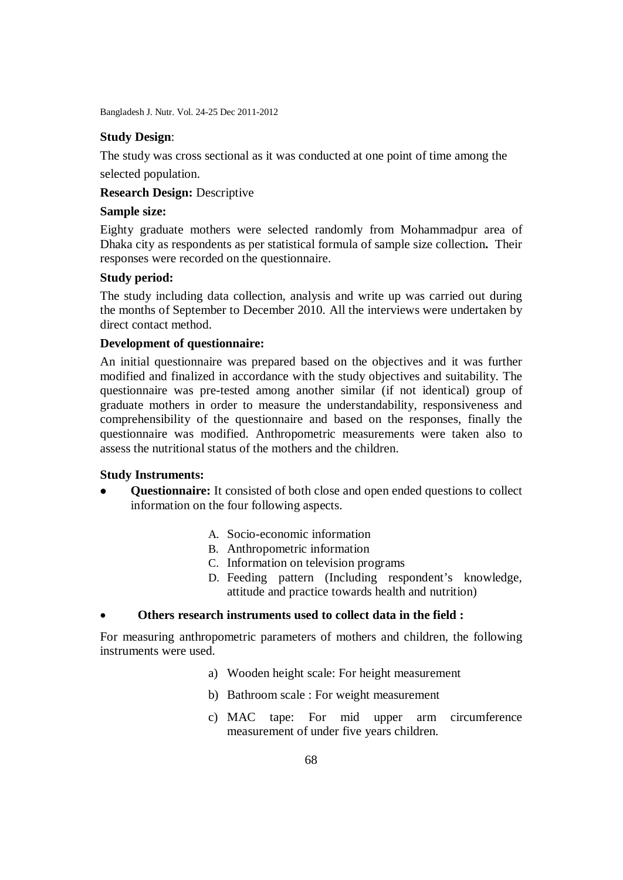#### **Study Design**:

The study was cross sectional as it was conducted at one point of time among the selected population.

#### **Research Design:** Descriptive

#### **Sample size:**

Eighty graduate mothers were selected randomly from Mohammadpur area of Dhaka city as respondents as per statistical formula of sample size collection**.** Their responses were recorded on the questionnaire.

#### **Study period:**

The study including data collection, analysis and write up was carried out during the months of September to December 2010. All the interviews were undertaken by direct contact method.

#### **Development of questionnaire:**

An initial questionnaire was prepared based on the objectives and it was further modified and finalized in accordance with the study objectives and suitability. The questionnaire was pre-tested among another similar (if not identical) group of graduate mothers in order to measure the understandability, responsiveness and comprehensibility of the questionnaire and based on the responses, finally the questionnaire was modified. Anthropometric measurements were taken also to assess the nutritional status of the mothers and the children.

## **Study Instruments:**

- **Questionnaire:** It consisted of both close and open ended questions to collect information on the four following aspects.
	- A. Socio-economic information
	- B. Anthropometric information
	- C. Information on television programs
	- D. Feeding pattern (Including respondent's knowledge, attitude and practice towards health and nutrition)

#### • **Others research instruments used to collect data in the field :**

For measuring anthropometric parameters of mothers and children, the following instruments were used.

- a) Wooden height scale: For height measurement
- b) Bathroom scale : For weight measurement
- c) MAC tape: For mid upper arm circumference measurement of under five years children.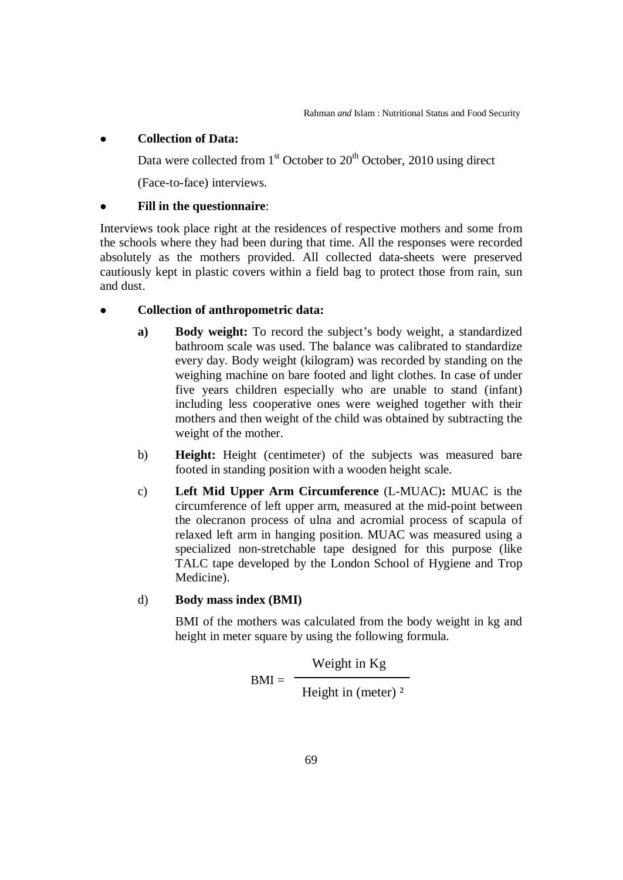## • **Collection of Data:**

Data were collected from  $1<sup>st</sup>$  October to  $20<sup>th</sup>$  October, 2010 using direct

(Face-to-face) interviews.

## • **Fill in the questionnaire**:

Interviews took place right at the residences of respective mothers and some from the schools where they had been during that time. All the responses were recorded absolutely as the mothers provided. All collected data-sheets were preserved cautiously kept in plastic covers within a field bag to protect those from rain, sun and dust.

## • **Collection of anthropometric data:**

- **a) Body weight:** To record the subject's body weight, a standardized bathroom scale was used. The balance was calibrated to standardize every day. Body weight (kilogram) was recorded by standing on the weighing machine on bare footed and light clothes. In case of under five years children especially who are unable to stand (infant) including less cooperative ones were weighed together with their mothers and then weight of the child was obtained by subtracting the weight of the mother.
- b) **Height:** Height (centimeter) of the subjects was measured bare footed in standing position with a wooden height scale.
- c) **Left Mid Upper Arm Circumference** (L-MUAC)**:** MUAC is the circumference of left upper arm, measured at the mid-point between the olecranon process of ulna and acromial process of scapula of relaxed left arm in hanging position. MUAC was measured using a specialized non-stretchable tape designed for this purpose (like TALC tape developed by the London School of Hygiene and Trop Medicine).

## d) **Body mass index (BMI)**

BMI of the mothers was calculated from the body weight in kg and height in meter square by using the following formula.

> $BMI =$ Weight in Kg Height in (meter)<sup>2</sup>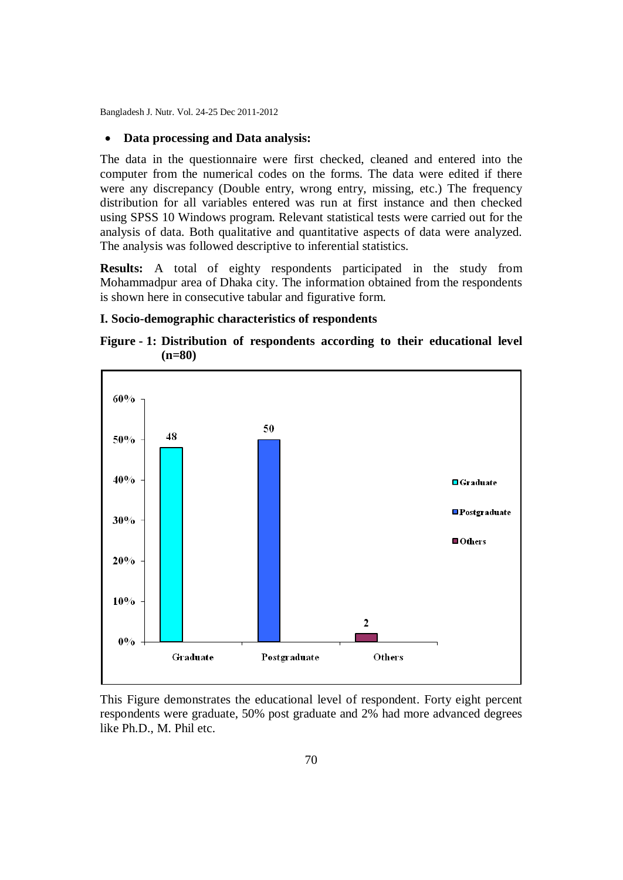#### • **Data processing and Data analysis:**

The data in the questionnaire were first checked, cleaned and entered into the computer from the numerical codes on the forms. The data were edited if there were any discrepancy (Double entry, wrong entry, missing, etc.) The frequency distribution for all variables entered was run at first instance and then checked using SPSS 10 Windows program. Relevant statistical tests were carried out for the analysis of data. Both qualitative and quantitative aspects of data were analyzed. The analysis was followed descriptive to inferential statistics.

**Results:** A total of eighty respondents participated in the study from Mohammadpur area of Dhaka city. The information obtained from the respondents is shown here in consecutive tabular and figurative form.

### **I. Socio-demographic characteristics of respondents**





This Figure demonstrates the educational level of respondent. Forty eight percent respondents were graduate, 50% post graduate and 2% had more advanced degrees like Ph.D., M. Phil etc.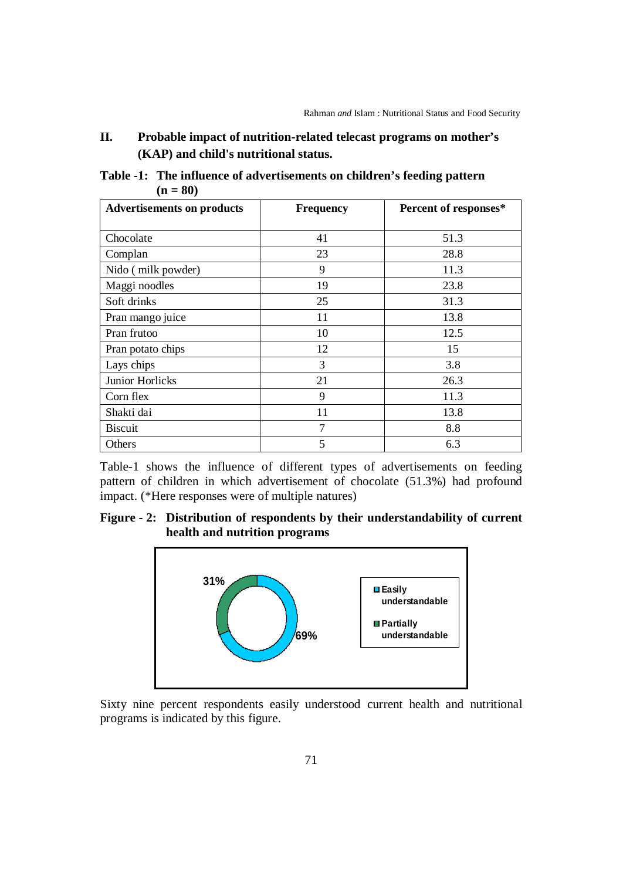# **II. Probable impact of nutrition-related telecast programs on mother's (KAP) and child's nutritional status.**

| <b>Advertisements on products</b> | <b>Frequency</b> | Percent of responses* |  |  |
|-----------------------------------|------------------|-----------------------|--|--|
| Chocolate                         | 41               | 51.3                  |  |  |
| Complan                           | 23               | 28.8                  |  |  |
| Nido (milk powder)                | 9                | 11.3                  |  |  |
| Maggi noodles                     | 19               | 23.8                  |  |  |
| Soft drinks                       | 25               | 31.3                  |  |  |
| Pran mango juice                  | 11               | 13.8                  |  |  |
| Pran frutoo                       | 10               | 12.5                  |  |  |
| Pran potato chips                 | 12               | 15                    |  |  |
| Lays chips                        | 3                | 3.8                   |  |  |
| Junior Horlicks                   | 21               | 26.3                  |  |  |
| Corn flex                         | 9                | 11.3                  |  |  |
| Shakti dai                        | 11               | 13.8                  |  |  |
| <b>Biscuit</b>                    | 7                | 8.8                   |  |  |
| Others                            | 5                | 6.3                   |  |  |

**Table -1: The influence of advertisements on children's feeding pattern (n = 80)**

Table-1 shows the influence of different types of advertisements on feeding pattern of children in which advertisement of chocolate (51.3%) had profound impact. (\*Here responses were of multiple natures)

**Figure - 2: Distribution of respondents by their understandability of current health and nutrition programs**



Sixty nine percent respondents easily understood current health and nutritional programs is indicated by this figure.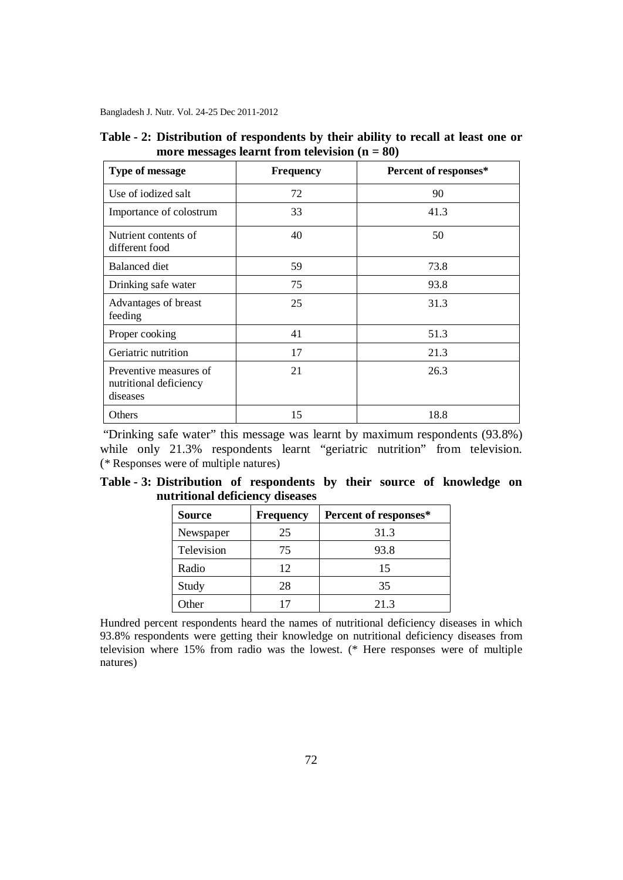|  | Table - 2: Distribution of respondents by their ability to recall at least one or |  |  |  |
|--|-----------------------------------------------------------------------------------|--|--|--|
|  | more messages learnt from television $(n = 80)$                                   |  |  |  |

| Type of message                                              | <b>Frequency</b> | Percent of responses* |  |  |
|--------------------------------------------------------------|------------------|-----------------------|--|--|
| Use of iodized salt                                          | 72               | 90                    |  |  |
| Importance of colostrum                                      | 33               | 41.3                  |  |  |
| Nutrient contents of<br>different food                       | 40               | 50                    |  |  |
| <b>Balanced</b> diet                                         | 59               | 73.8                  |  |  |
| Drinking safe water                                          | 75               | 93.8                  |  |  |
| Advantages of breast<br>feeding                              | 25               | 31.3                  |  |  |
| Proper cooking                                               | 41               | 51.3                  |  |  |
| Geriatric nutrition                                          | 17               | 21.3                  |  |  |
| Preventive measures of<br>nutritional deficiency<br>diseases | 21               | 26.3                  |  |  |
| Others                                                       | 15               | 18.8                  |  |  |

"Drinking safe water" this message was learnt by maximum respondents (93.8%) while only 21.3% respondents learnt "geriatric nutrition" from television. (\* Responses were of multiple natures)

**Table - 3: Distribution of respondents by their source of knowledge on nutritional deficiency diseases**

| <b>Source</b><br><b>Frequency</b> |    | Percent of responses* |  |  |
|-----------------------------------|----|-----------------------|--|--|
| Newspaper                         | 25 | 31.3                  |  |  |
| Television                        | 75 | 93.8                  |  |  |
| Radio                             | 12 | 15                    |  |  |
| Study                             | 28 | 35                    |  |  |
| Other                             | 17 | 21.3                  |  |  |

Hundred percent respondents heard the names of nutritional deficiency diseases in which 93.8% respondents were getting their knowledge on nutritional deficiency diseases from television where 15% from radio was the lowest. (\* Here responses were of multiple natures)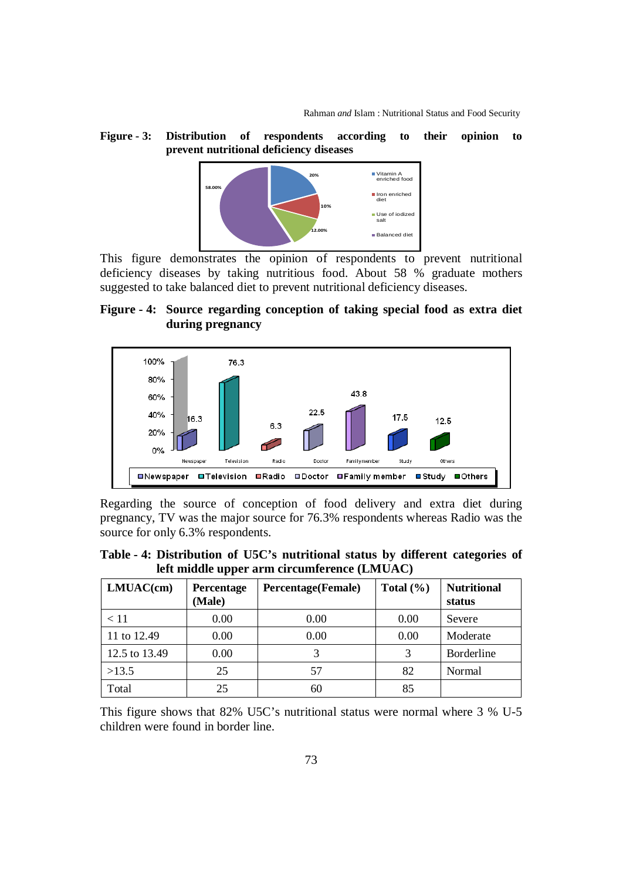#### **Figure - 3: Distribution of respondents according to their opinion to prevent nutritional deficiency diseases**



This figure demonstrates the opinion of respondents to prevent nutritional deficiency diseases by taking nutritious food. About 58 % graduate mothers suggested to take balanced diet to prevent nutritional deficiency diseases.

## **Figure - 4: Source regarding conception of taking special food as extra diet during pregnancy**



Regarding the source of conception of food delivery and extra diet during pregnancy, TV was the major source for 76.3% respondents whereas Radio was the source for only 6.3% respondents.

## **Table - 4: Distribution of U5C's nutritional status by different categories of left middle upper arm circumference (LMUAC)**

| LMUAC(cm)     | <b>Percentage</b><br>(Male) | Percentage(Female) | Total $(\% )$ | <b>Nutritional</b><br>status |
|---------------|-----------------------------|--------------------|---------------|------------------------------|
| < 11          | 0.00                        | 0.00               | 0.00          | Severe                       |
| 11 to 12.49   | 0.00                        | 0.00               | 0.00          | Moderate                     |
| 12.5 to 13.49 | 0.00                        | 3                  | 3             | Borderline                   |
| >13.5         | 25                          | 57                 | 82            | Normal                       |
| Total         | 25                          | 60                 | 85            |                              |

This figure shows that 82% U5C's nutritional status were normal where 3 % U-5 children were found in border line.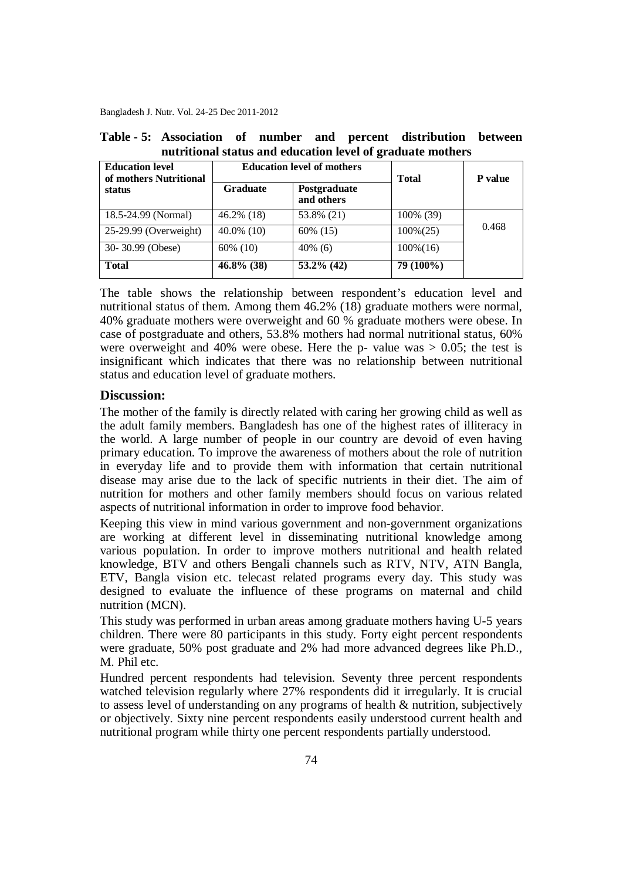| <b>Education level</b><br>of mothers Nutritional | <b>Education level of mothers</b> |                            | <b>Total</b> | <b>P</b> value |  |
|--------------------------------------------------|-----------------------------------|----------------------------|--------------|----------------|--|
| status                                           | <b>Graduate</b>                   | Postgraduate<br>and others |              |                |  |
| 18.5-24.99 (Normal)                              | 46.2% (18)                        | 53.8% (21)                 | 100% (39)    |                |  |
| $25-29.99$ (Overweight)                          | $40.0\%$ (10)                     | 60\% (15)                  | $100\%(25)$  | 0.468          |  |
| 30-30.99 (Obese)                                 | $60\%$ (10)                       | $40\%$ (6)                 | $100\%(16)$  |                |  |
| <b>Total</b>                                     | $46.8\%$ (38)                     | $53.2\%$ (42)              | 79 (100%)    |                |  |

|                                                            |  |  |  |  |  | Table - 5: Association of number and percent distribution between |  |
|------------------------------------------------------------|--|--|--|--|--|-------------------------------------------------------------------|--|
| nutritional status and education level of graduate mothers |  |  |  |  |  |                                                                   |  |

The table shows the relationship between respondent's education level and nutritional status of them. Among them 46.2% (18) graduate mothers were normal, 40% graduate mothers were overweight and 60 % graduate mothers were obese. In case of postgraduate and others, 53.8% mothers had normal nutritional status, 60% were overweight and 40% were obese. Here the p- value was  $> 0.05$ ; the test is insignificant which indicates that there was no relationship between nutritional status and education level of graduate mothers.

#### **Discussion:**

The mother of the family is directly related with caring her growing child as well as the adult family members. Bangladesh has one of the highest rates of illiteracy in the world. A large number of people in our country are devoid of even having primary education. To improve the awareness of mothers about the role of nutrition in everyday life and to provide them with information that certain nutritional disease may arise due to the lack of specific nutrients in their diet. The aim of nutrition for mothers and other family members should focus on various related aspects of nutritional information in order to improve food behavior.

Keeping this view in mind various government and non-government organizations are working at different level in disseminating nutritional knowledge among various population. In order to improve mothers nutritional and health related knowledge, BTV and others Bengali channels such as RTV, NTV, ATN Bangla, ETV, Bangla vision etc. telecast related programs every day. This study was designed to evaluate the influence of these programs on maternal and child nutrition (MCN).

This study was performed in urban areas among graduate mothers having U-5 years children. There were 80 participants in this study. Forty eight percent respondents were graduate, 50% post graduate and 2% had more advanced degrees like Ph.D., M. Phil etc.

Hundred percent respondents had television. Seventy three percent respondents watched television regularly where 27% respondents did it irregularly. It is crucial to assess level of understanding on any programs of health & nutrition, subjectively or objectively. Sixty nine percent respondents easily understood current health and nutritional program while thirty one percent respondents partially understood.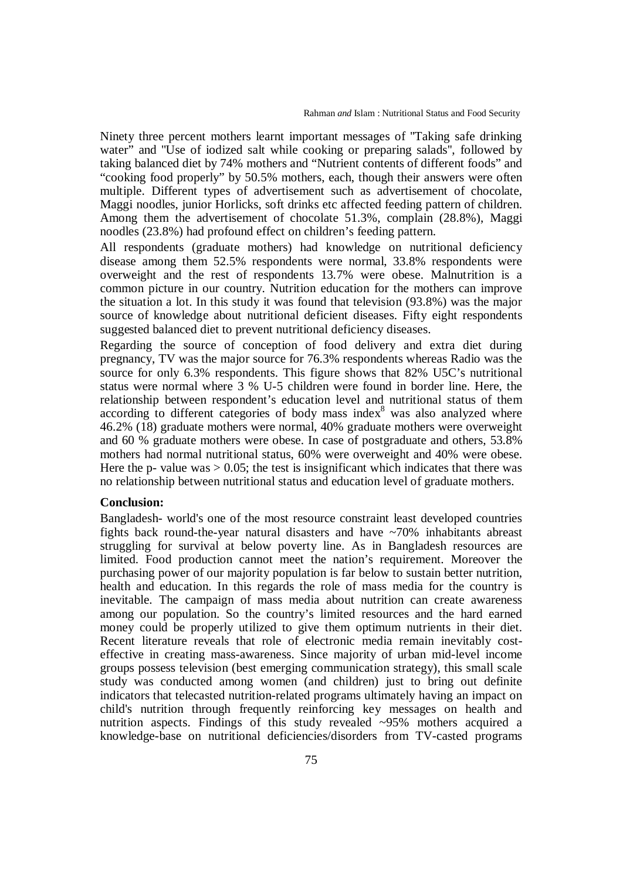Ninety three percent mothers learnt important messages of ''Taking safe drinking water" and ''Use of iodized salt while cooking or preparing salads'', followed by taking balanced diet by 74% mothers and "Nutrient contents of different foods" and "cooking food properly" by 50.5% mothers, each, though their answers were often multiple. Different types of advertisement such as advertisement of chocolate, Maggi noodles, junior Horlicks, soft drinks etc affected feeding pattern of children. Among them the advertisement of chocolate 51.3%, complain (28.8%), Maggi noodles (23.8%) had profound effect on children's feeding pattern.

All respondents (graduate mothers) had knowledge on nutritional deficiency disease among them 52.5% respondents were normal, 33.8% respondents were overweight and the rest of respondents 13.7% were obese. Malnutrition is a common picture in our country. Nutrition education for the mothers can improve the situation a lot. In this study it was found that television (93.8%) was the major source of knowledge about nutritional deficient diseases. Fifty eight respondents suggested balanced diet to prevent nutritional deficiency diseases.

Regarding the source of conception of food delivery and extra diet during pregnancy, TV was the major source for 76.3% respondents whereas Radio was the source for only 6.3% respondents. This figure shows that 82% U5C's nutritional status were normal where 3 % U-5 children were found in border line. Here, the relationship between respondent's education level and nutritional status of them according to different categories of body mass index $8$  was also analyzed where 46.2% (18) graduate mothers were normal, 40% graduate mothers were overweight and 60 % graduate mothers were obese. In case of postgraduate and others, 53.8% mothers had normal nutritional status, 60% were overweight and 40% were obese. Here the p- value was  $> 0.05$ ; the test is insignificant which indicates that there was no relationship between nutritional status and education level of graduate mothers.

#### **Conclusion:**

Bangladesh- world's one of the most resource constraint least developed countries fights back round-the-year natural disasters and have ~70% inhabitants abreast struggling for survival at below poverty line. As in Bangladesh resources are limited. Food production cannot meet the nation's requirement. Moreover the purchasing power of our majority population is far below to sustain better nutrition, health and education. In this regards the role of mass media for the country is inevitable. The campaign of mass media about nutrition can create awareness among our population. So the country's limited resources and the hard earned money could be properly utilized to give them optimum nutrients in their diet. Recent literature reveals that role of electronic media remain inevitably costeffective in creating mass-awareness. Since majority of urban mid-level income groups possess television (best emerging communication strategy), this small scale study was conducted among women (and children) just to bring out definite indicators that telecasted nutrition-related programs ultimately having an impact on child's nutrition through frequently reinforcing key messages on health and nutrition aspects. Findings of this study revealed ~95% mothers acquired a knowledge-base on nutritional deficiencies/disorders from TV-casted programs